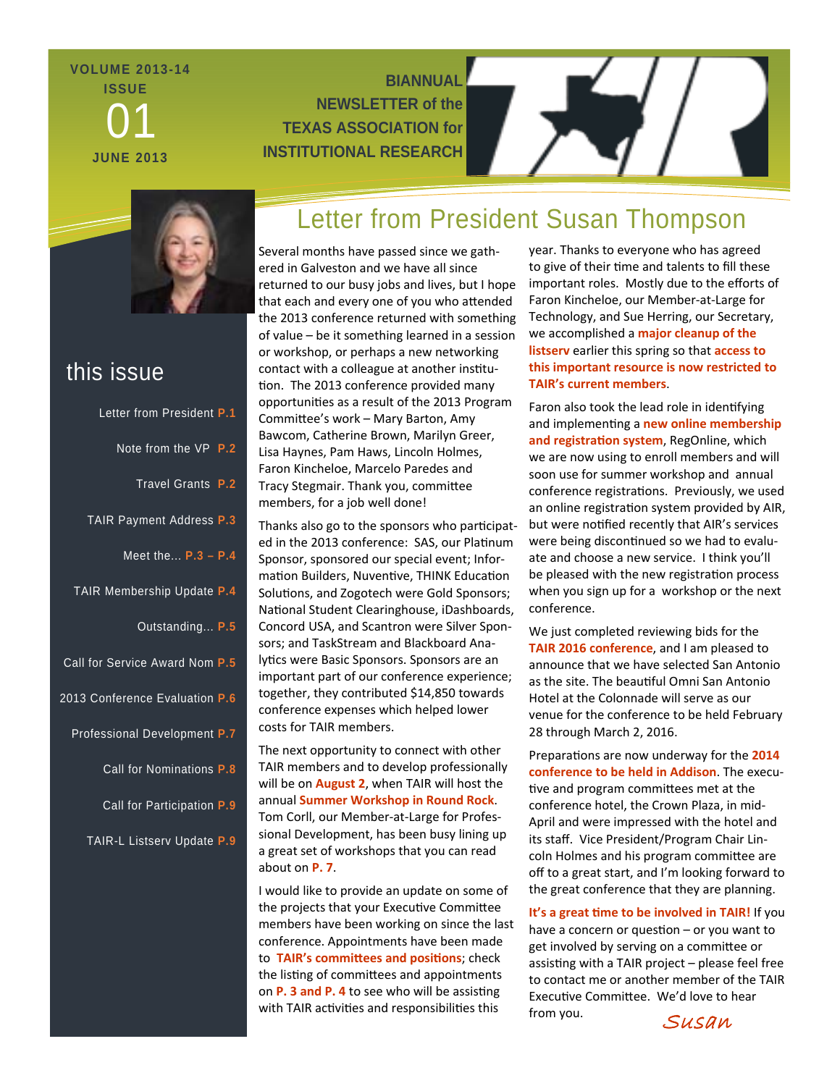# **VOLUME 2013-14 ISSUE**  01 **JUNE 2013**

# **BIANNUAL NEWSLETTER of the TEXAS ASSOCIATION for INSTITUTIONAL RESEARCH**



# this issue

| Letter from President P.1      |  |
|--------------------------------|--|
| Note from the VP P.2           |  |
| Travel Grants P.2              |  |
| TAIR Payment Address P.3       |  |
| Meet the $P.3 - P.4$           |  |
| TAIR Membership Update P.4     |  |
| Outstanding P.5                |  |
| Call for Service Award Nom P.5 |  |
| 2013 Conference Evaluation P.6 |  |
| Professional Development P.7   |  |
| Call for Nominations P.8       |  |
| Call for Participation P.9     |  |
| TAIR-L Listserv Update P.9     |  |
|                                |  |

# Letter from President Susan Thompson

Several months have passed since we gath‐ ered in Galveston and we have all since returned to our busy jobs and lives, but I hope that each and every one of you who attended the 2013 conference returned with something of value – be it something learned in a session or workshop, or perhaps a new networking contact with a colleague at another institution. The 2013 conference provided many opportuniƟes as a result of the 2013 Program CommiƩee's work – Mary Barton, Amy Bawcom, Catherine Brown, Marilyn Greer, Lisa Haynes, Pam Haws, Lincoln Holmes, Faron Kincheloe, Marcelo Paredes and Tracy Stegmair. Thank you, committee members, for a job well done!

Thanks also go to the sponsors who participated in the 2013 conference: SAS, our Platinum Sponsor, sponsored our special event; Infor‐ mation Builders, Nuventive, THINK Education Solutions, and Zogotech were Gold Sponsors; National Student Clearinghouse, iDashboards, Concord USA, and Scantron were Silver Spon‐ sors; and TaskStream and Blackboard Ana‐ lytics were Basic Sponsors. Sponsors are an important part of our conference experience; together, they contributed \$14,850 towards conference expenses which helped lower costs for TAIR members.

The next opportunity to connect with other TAIR members and to develop professionally will be on **August 2**, when TAIR will host the annual **Summer Workshop in Round Rock**. Tom Corll, our Member‐at‐Large for Profes‐ sional Development, has been busy lining up a great set of workshops that you can read about on **P. 7**.

I would like to provide an update on some of the projects that your Executive Committee members have been working on since the last conference. Appointments have been made to **TAIR's commiƩees and posiƟons**; check the listing of committees and appointments on **P. 3** and **P.** 4 to see who will be assisting with TAIR activities and responsibilities this

year. Thanks to everyone who has agreed to give of their time and talents to fill these important roles. Mostly due to the efforts of Faron Kincheloe, our Member‐at‐Large for Technology, and Sue Herring, our Secretary, we accomplished a **major cleanup of the listserv** earlier this spring so that **access to this important resource is now restricted to TAIR's current members**.

Faron also took the lead role in identifying and implementing a **new online membership and registraƟon system**, RegOnline, which we are now using to enroll members and will soon use for summer workshop and annual conference registrations. Previously, we used an online registration system provided by AIR, but were notified recently that AIR's services were being discontinued so we had to evaluate and choose a new service. I think you'll be pleased with the new registration process when you sign up for a workshop or the next conference.

We just completed reviewing bids for the **TAIR 2016 conference**, and I am pleased to announce that we have selected San Antonio as the site. The beautiful Omni San Antonio Hotel at the Colonnade will serve as our venue for the conference to be held February 28 through March 2, 2016.

Preparations are now underway for the 2014 **conference to be held in Addison**. The execu‐ tive and program committees met at the conference hotel, the Crown Plaza, in mid‐ April and were impressed with the hotel and its staff. Vice President/Program Chair Lin‐ coln Holmes and his program committee are off to a great start, and I'm looking forward to the great conference that they are planning.

**It's a great Ɵme to be involved in TAIR!** If you have a concern or question  $-$  or you want to get involved by serving on a committee or assisting with a TAIR project - please feel free to contact me or another member of the TAIR Executive Committee. We'd love to hear from you.<br>SUSAN

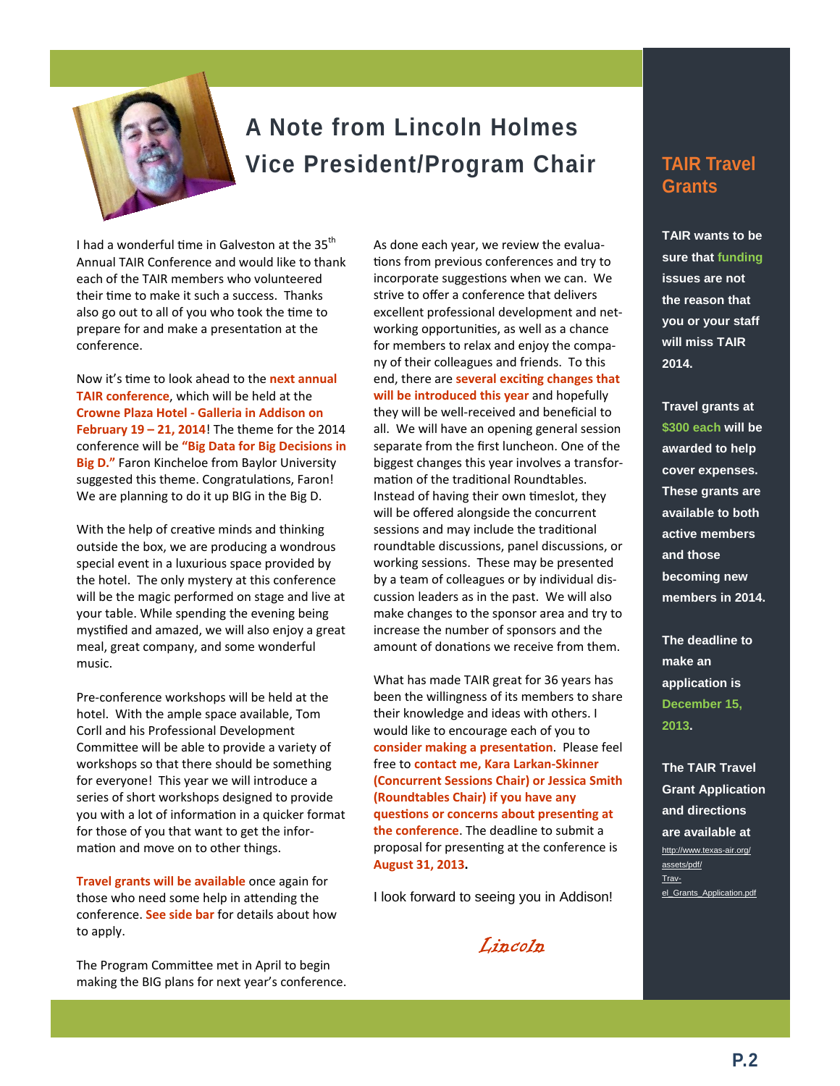

# **A Note from Lincoln Holmes Vice President/Program Chair**

I had a wonderful time in Galveston at the 35<sup>th</sup> Annual TAIR Conference and would like to thank each of the TAIR members who volunteered their time to make it such a success. Thanks also go out to all of you who took the time to prepare for and make a presentation at the conference.

Now it's Ɵme to look ahead to the **next annual TAIR conference**, which will be held at the **Crowne Plaza Hotel ‐ Galleria in Addison on February 19 – 21, 2014**! The theme for the 2014 conference will be **"Big Data for Big Decisions in Big D."** Faron Kincheloe from Baylor University suggested this theme. Congratulations, Faron! We are planning to do it up BIG in the Big D.

With the help of creative minds and thinking outside the box, we are producing a wondrous special event in a luxurious space provided by the hotel. The only mystery at this conference will be the magic performed on stage and live at your table. While spending the evening being mystified and amazed, we will also enjoy a great meal, great company, and some wonderful music.

Pre‐conference workshops will be held at the hotel. With the ample space available, Tom Corll and his Professional Development Committee will be able to provide a variety of workshops so that there should be something for everyone! This year we will introduce a series of short workshops designed to provide you with a lot of information in a quicker format for those of you that want to get the infor‐ mation and move on to other things.

**Travel grants will be available** once again for those who need some help in attending the conference. **See side bar** for details about how to apply.

The Program Committee met in April to begin making the BIG plans for next year's conference. As done each year, we review the evalua‐ tions from previous conferences and try to incorporate suggestions when we can. We strive to offer a conference that delivers excellent professional development and net‐ working opportunities, as well as a chance for members to relax and enjoy the compa‐ ny of their colleagues and friends. To this end, there are **several exciƟng changes that will be introduced this year** and hopefully they will be well‐received and beneficial to all. We will have an opening general session separate from the first luncheon. One of the biggest changes this year involves a transfor‐ mation of the traditional Roundtables. Instead of having their own timeslot, they will be offered alongside the concurrent sessions and may include the traditional roundtable discussions, panel discussions, or working sessions. These may be presented by a team of colleagues or by individual dis‐ cussion leaders as in the past. We will also make changes to the sponsor area and try to increase the number of sponsors and the amount of donations we receive from them.

What has made TAIR great for 36 years has been the willingness of its members to share their knowledge and ideas with others. I would like to encourage each of you to **consider making a presentaƟon**. Please feel free to **contact me, Kara Larkan‐Skinner (Concurrent Sessions Chair) or Jessica Smith (Roundtables Chair) if you have any quesƟons or concerns about presenƟng at the conference**. The deadline to submit a proposal for presenting at the conference is **August 31, 2013.**

I look forward to seeing you in Addison!

Lincoln

# **TAIR Travel Grants**

**TAIR wants to be sure that funding issues are not the reason that you or your staff will miss TAIR 2014.** 

**Travel grants at \$300 each will be awarded to help cover expenses. These grants are available to both active members and those becoming new members in 2014.** 

**The deadline to make an application is December 15, 2013.** 

**The TAIR Travel Grant Application and directions are available at**  http://www.texas-air.org/ assets/pdf/ Travel\_Grants\_Application.pdf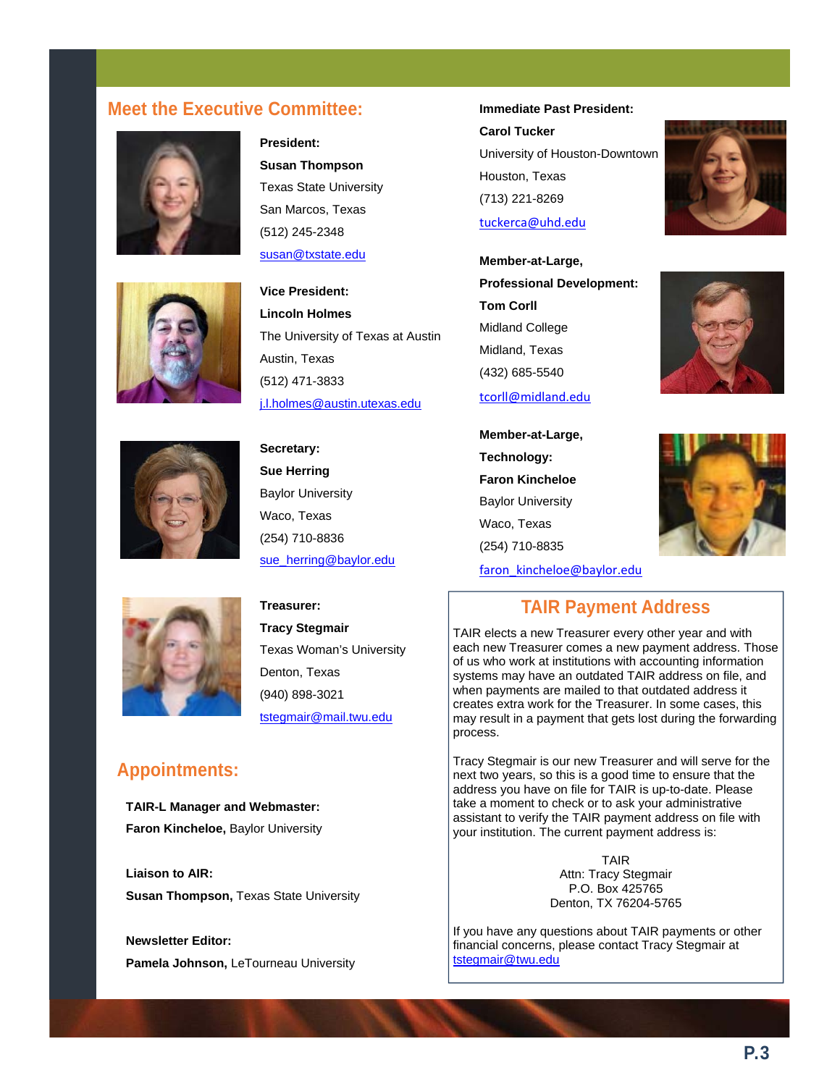# **Meet the Executive Committee: Immediate Past President:**

**President:** 

**Susan Thompson**  Texas State University San Marcos, Texas (512) 245-2348 susan@txstate.edu

**Vice President: Lincoln Holmes** 







**Secretary: Sue Herring**  Baylor University Waco, Texas (254) 710-8836 sue\_herring@baylor.edu



**Treasurer: Tracy Stegmair**  Texas Woman's University Denton, Texas (940) 898-3021 tstegmair@mail.twu.edu

# **Appointments:**

**TAIR-L Manager and Webmaster: Faron Kincheloe,** Baylor University

**Liaison to AIR: Susan Thompson,** Texas State University

**Newsletter Editor: Pamela Johnson,** LeTourneau University **Carol Tucker**  University of Houston-Downtown Houston, Texas (713) 221-8269 tuckerca@uhd.edu

**Member-at-Large, Professional Development: Tom Corll**  Midland College Midland, Texas (432) 685-5540 tcorll@midland.edu

**Member-at-Large, Technology: Faron Kincheloe**  Baylor University Waco, Texas (254) 710-8835









# **TAIR Payment Address**

TAIR elects a new Treasurer every other year and with each new Treasurer comes a new payment address. Those of us who work at institutions with accounting information systems may have an outdated TAIR address on file, and when payments are mailed to that outdated address it creates extra work for the Treasurer. In some cases, this may result in a payment that gets lost during the forwarding process.

Tracy Stegmair is our new Treasurer and will serve for the next two years, so this is a good time to ensure that the address you have on file for TAIR is up-to-date. Please take a moment to check or to ask your administrative assistant to verify the TAIR payment address on file with your institution. The current payment address is:

> TAIR Attn: Tracy Stegmair P.O. Box 425765 Denton, TX 76204-5765

If you have any questions about TAIR payments or other financial concerns, please contact Tracy Stegmair at tstegmair@twu.edu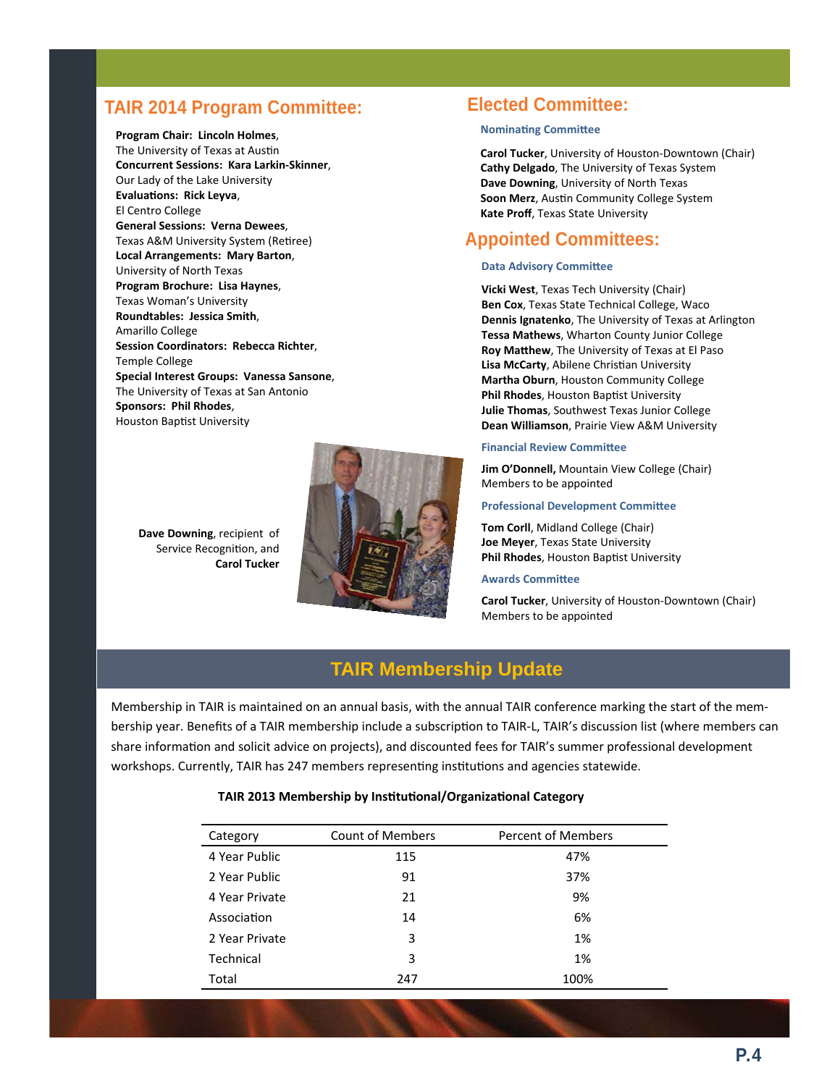# **TAIR 2014 Program Committee: Elected Committee:**

**Program Chair: Lincoln Holmes**, The University of Texas at Austin **Concurrent Sessions: Kara Larkin‐Skinner**, Our Lady of the Lake University **EvaluaƟons: Rick Leyva**, El Centro College **General Sessions: Verna Dewees**, Texas A&M University System (Retiree) **Local Arrangements: Mary Barton**, University of North Texas **Program Brochure: Lisa Haynes**, Texas Woman's University **Roundtables: Jessica Smith**, Amarillo College **Session Coordinators: Rebecca Richter**, Temple College **Special Interest Groups: Vanessa Sansone**, The University of Texas at San Antonio **Sponsors: Phil Rhodes**, Houston Baptist University

> **Dave Downing**, recipient of Service Recognition, and **Carol Tucker**



### **Nominating Committee**

**Carol Tucker**, University of Houston‐Downtown (Chair) **Cathy Delgado**, The University of Texas System **Dave Downing**, University of North Texas **Soon Merz**, AusƟn Community College System **Kate Proff**, Texas State University

### **Appointed Committees:**

#### **Data Advisory Committee**

**Vicki West**, Texas Tech University (Chair) **Ben Cox**, Texas State Technical College, Waco **Dennis Ignatenko**, The University of Texas at Arlington **Tessa Mathews**, Wharton County Junior College **Roy MaƩhew**, The University of Texas at El Paso **Lisa McCarty, Abilene Christian University Martha Oburn**, Houston Community College **Phil Rhodes, Houston Baptist University Julie Thomas**, Southwest Texas Junior College **Dean Williamson**, Prairie View A&M University

#### **Financial Review Committee**

**Jim O'Donnell,** Mountain View College (Chair) Members to be appointed

#### **Professional Development CommiƩee**

**Tom Corll**, Midland College (Chair) **Joe Meyer**, Texas State University **Phil Rhodes**, Houston Baptist University

#### **Awards CommiƩee**

**Carol Tucker**, University of Houston‐Downtown (Chair) Members to be appointed

# **TAIR Membership Update**

Membership in TAIR is maintained on an annual basis, with the annual TAIR conference marking the start of the mem‐ bership year. Benefits of a TAIR membership include a subscription to TAIR-L, TAIR's discussion list (where members can share information and solicit advice on projects), and discounted fees for TAIR's summer professional development workshops. Currently, TAIR has 247 members representing institutions and agencies statewide.

### **TAIR 2013 Membership by InsƟtuƟonal/OrganizaƟonal Category**

| Category       | <b>Count of Members</b> | <b>Percent of Members</b> |
|----------------|-------------------------|---------------------------|
| 4 Year Public  | 115                     | 47%                       |
| 2 Year Public  | 91                      | 37%                       |
| 4 Year Private | 21                      | 9%                        |
| Association    | 14                      | 6%                        |
| 2 Year Private | 3                       | 1%                        |
| Technical      | 3                       | 1%                        |
| Total          | 247                     | 100%                      |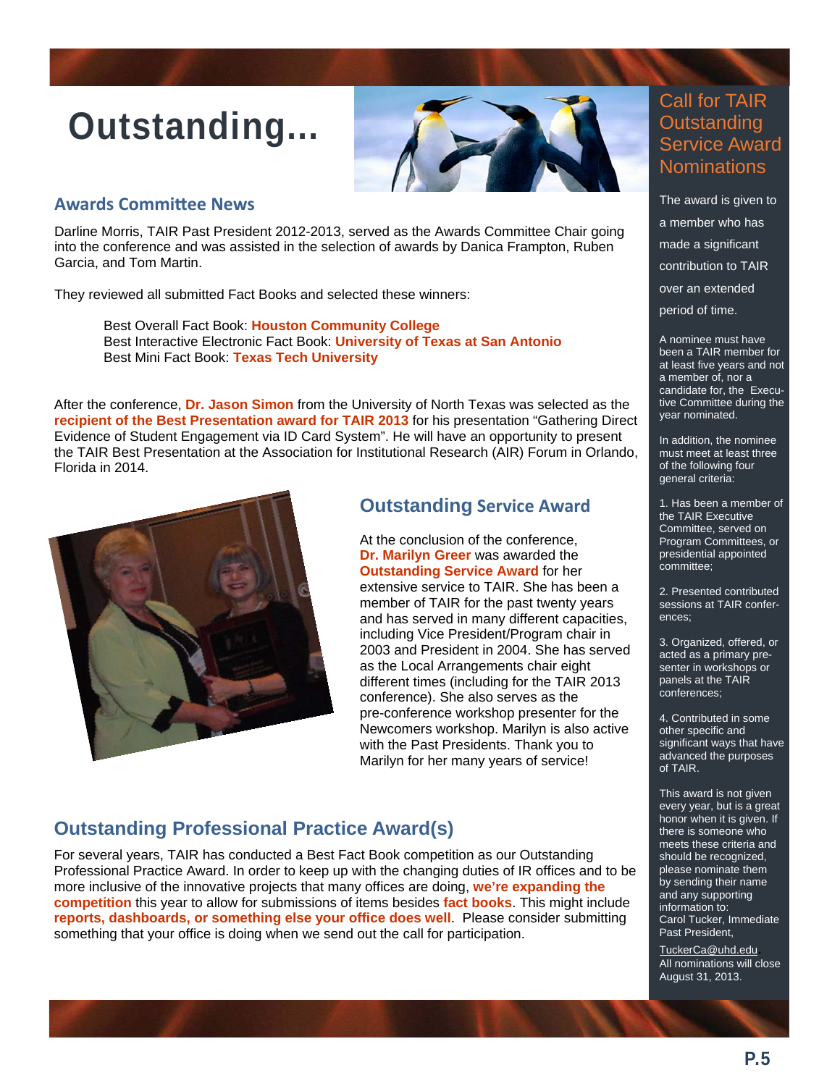# **Outstanding...**



### **Awards CommiƩee News**

Darline Morris, TAIR Past President 2012-2013, served as the Awards Committee Chair going into the conference and was assisted in the selection of awards by Danica Frampton, Ruben Garcia, and Tom Martin.

They reviewed all submitted Fact Books and selected these winners:

Best Overall Fact Book: **Houston Community College**  Best Interactive Electronic Fact Book: **University of Texas at San Antonio**  Best Mini Fact Book: **Texas Tech University** 

After the conference, **Dr. Jason Simon** from the University of North Texas was selected as the **recipient of the Best Presentation award for TAIR 2013** for his presentation "Gathering Direct Evidence of Student Engagement via ID Card System". He will have an opportunity to present the TAIR Best Presentation at the Association for Institutional Research (AIR) Forum in Orlando, Florida in 2014.



# **Outstanding Service Award**

At the conclusion of the conference, **Dr. Marilyn Greer** was awarded the **Outstanding Service Award** for her extensive service to TAIR. She has been a member of TAIR for the past twenty years and has served in many different capacities, including Vice President/Program chair in 2003 and President in 2004. She has served as the Local Arrangements chair eight different times (including for the TAIR 2013 conference). She also serves as the pre-conference workshop presenter for the Newcomers workshop. Marilyn is also active with the Past Presidents. Thank you to Marilyn for her many years of service!

# **Outstanding Professional Practice Award(s)**

For several years, TAIR has conducted a Best Fact Book competition as our Outstanding Professional Practice Award. In order to keep up with the changing duties of IR offices and to be more inclusive of the innovative projects that many offices are doing, **we're expanding the competition** this year to allow for submissions of items besides **fact books**. This might include **reports, dashboards, or something else your office does well**. Please consider submitting something that your office is doing when we send out the call for participation.

# Call for TAIR **Outstanding** Service Award **Nominations**

The award is given to a member who has made a significant contribution to TAIR over an extended period of time.

A nominee must have been a TAIR member for at least five years and not a member of, nor a candidate for, the Executive Committee during the year nominated.

In addition, the nominee must meet at least three of the following four general criteria:

1. Has been a member of the TAIR Executive Committee, served on Program Committees, or presidential appointed committee;

2. Presented contributed sessions at TAIR conferences;

3. Organized, offered, or acted as a primary presenter in workshops or panels at the TAIR conferences;

4. Contributed in some other specific and significant ways that have advanced the purposes of TAIR.

This award is not given every year, but is a great honor when it is given. If there is someone who meets these criteria and should be recognized, please nominate them by sending their name and any supporting information to: Carol Tucker, Immediate Past President,

TuckerCa@uhd.edu. All nominations will close August 31, 2013.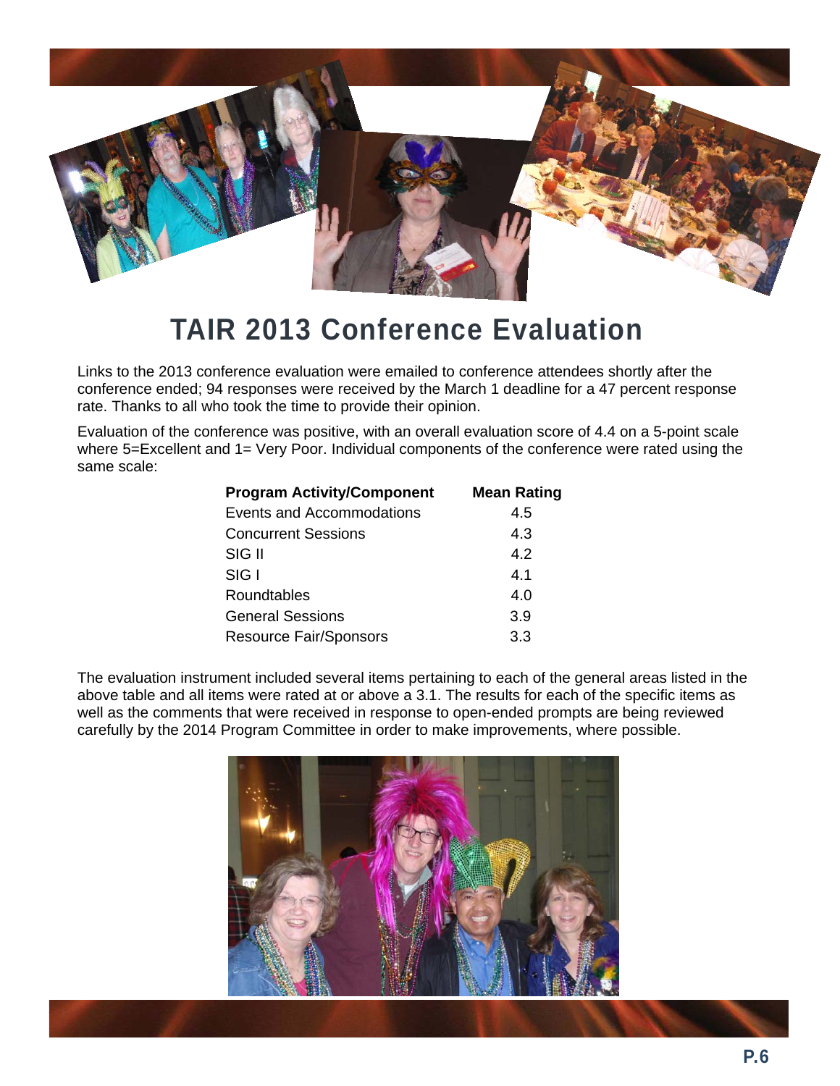

# **TAIR 2013 Conference Evaluation**

Links to the 2013 conference evaluation were emailed to conference attendees shortly after the conference ended; 94 responses were received by the March 1 deadline for a 47 percent response rate. Thanks to all who took the time to provide their opinion.

Evaluation of the conference was positive, with an overall evaluation score of 4.4 on a 5-point scale where 5=Excellent and 1= Very Poor. Individual components of the conference were rated using the same scale:

| <b>Program Activity/Component</b> | <b>Mean Rating</b> |
|-----------------------------------|--------------------|
| Events and Accommodations         | 4.5                |
| <b>Concurrent Sessions</b>        | 4.3                |
| SIG II                            | 4.2                |
| SIGI                              | 4.1                |
| Roundtables                       | 4.0                |
| <b>General Sessions</b>           | 3.9                |
| <b>Resource Fair/Sponsors</b>     | 3.3                |

The evaluation instrument included several items pertaining to each of the general areas listed in the above table and all items were rated at or above a 3.1. The results for each of the specific items as well as the comments that were received in response to open-ended prompts are being reviewed carefully by the 2014 Program Committee in order to make improvements, where possible.

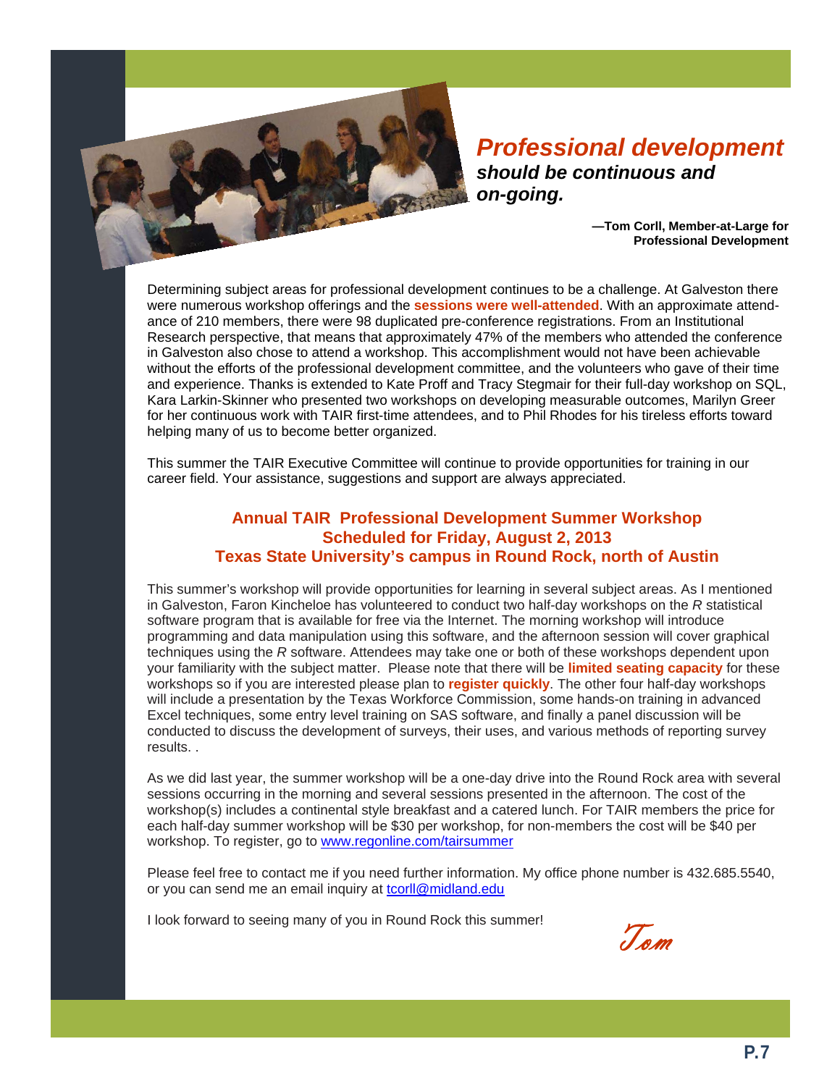

*Professional development should be continuous and on-going.* 

> **—Tom Corll, Member-at-Large for Professional Development**

Determining subject areas for professional development continues to be a challenge. At Galveston there were numerous workshop offerings and the **sessions were well-attended**. With an approximate attendance of 210 members, there were 98 duplicated pre-conference registrations. From an Institutional Research perspective, that means that approximately 47% of the members who attended the conference in Galveston also chose to attend a workshop. This accomplishment would not have been achievable without the efforts of the professional development committee, and the volunteers who gave of their time and experience. Thanks is extended to Kate Proff and Tracy Stegmair for their full-day workshop on SQL, Kara Larkin-Skinner who presented two workshops on developing measurable outcomes, Marilyn Greer for her continuous work with TAIR first-time attendees, and to Phil Rhodes for his tireless efforts toward helping many of us to become better organized.

This summer the TAIR Executive Committee will continue to provide opportunities for training in our career field. Your assistance, suggestions and support are always appreciated.

### **Annual TAIR Professional Development Summer Workshop Scheduled for Friday, August 2, 2013 Texas State University's campus in Round Rock, north of Austin**

This summer's workshop will provide opportunities for learning in several subject areas. As I mentioned in Galveston, Faron Kincheloe has volunteered to conduct two half-day workshops on the *R* statistical software program that is available for free via the Internet. The morning workshop will introduce programming and data manipulation using this software, and the afternoon session will cover graphical techniques using the *R* software. Attendees may take one or both of these workshops dependent upon your familiarity with the subject matter. Please note that there will be **limited seating capacity** for these workshops so if you are interested please plan to **register quickly**. The other four half-day workshops will include a presentation by the Texas Workforce Commission, some hands-on training in advanced Excel techniques, some entry level training on SAS software, and finally a panel discussion will be conducted to discuss the development of surveys, their uses, and various methods of reporting survey results. .

As we did last year, the summer workshop will be a one-day drive into the Round Rock area with several sessions occurring in the morning and several sessions presented in the afternoon. The cost of the workshop(s) includes a continental style breakfast and a catered lunch. For TAIR members the price for each half-day summer workshop will be \$30 per workshop, for non-members the cost will be \$40 per workshop. To register, go to www.regonline.com/tairsummer

Please feel free to contact me if you need further information. My office phone number is 432.685.5540, or you can send me an email inquiry at tcorll@midland.edu

I look forward to seeing many of you in Round Rock this summer!

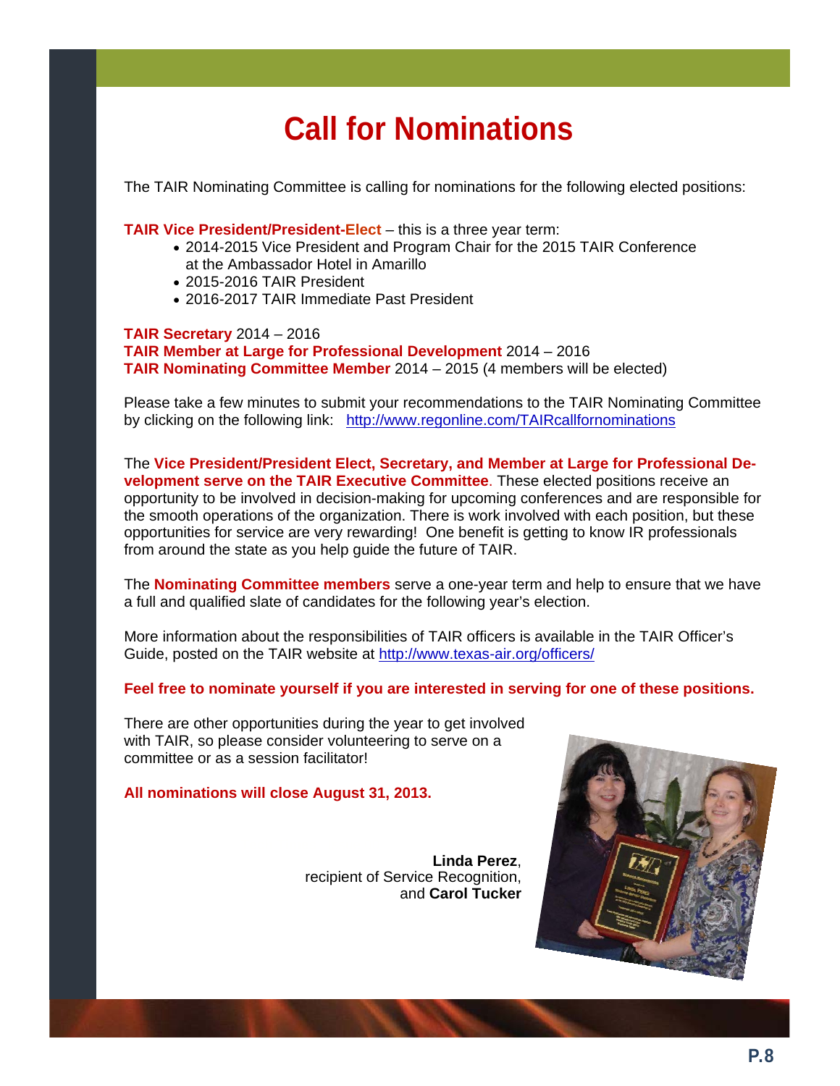# **Call for Nominations**

The TAIR Nominating Committee is calling for nominations for the following elected positions:

**TAIR Vice President/President-Elect** *–* this is a three year term:

- 2014-2015 Vice President and Program Chair for the 2015 TAIR Conference at the Ambassador Hotel in Amarillo
- 2015-2016 TAIR President
- 2016-2017 TAIR Immediate Past President

**TAIR Secretary** 2014 – 2016 **TAIR Member at Large for Professional Development** 2014 – 2016 **TAIR Nominating Committee Member** 2014 – 2015 (4 members will be elected)

Please take a few minutes to submit your recommendations to the TAIR Nominating Committee by clicking on the following link: http://www.regonline.com/TAIRcallfornominations

The **Vice President/President Elect, Secretary, and Member at Large for Professional Development serve on the TAIR Executive Committee**. These elected positions receive an opportunity to be involved in decision-making for upcoming conferences and are responsible for the smooth operations of the organization. There is work involved with each position, but these opportunities for service are very rewarding! One benefit is getting to know IR professionals from around the state as you help guide the future of TAIR.

The **Nominating Committee members** serve a one-year term and help to ensure that we have a full and qualified slate of candidates for the following year's election.

More information about the responsibilities of TAIR officers is available in the TAIR Officer's Guide, posted on the TAIR website at http://www.texas-air.org/officers/

**Feel free to nominate yourself if you are interested in serving for one of these positions.**

There are other opportunities during the year to get involved with TAIR, so please consider volunteering to serve on a committee or as a session facilitator!

**All nominations will close August 31, 2013.** 

**Linda Perez**, recipient of Service Recognition, and **Carol Tucker**